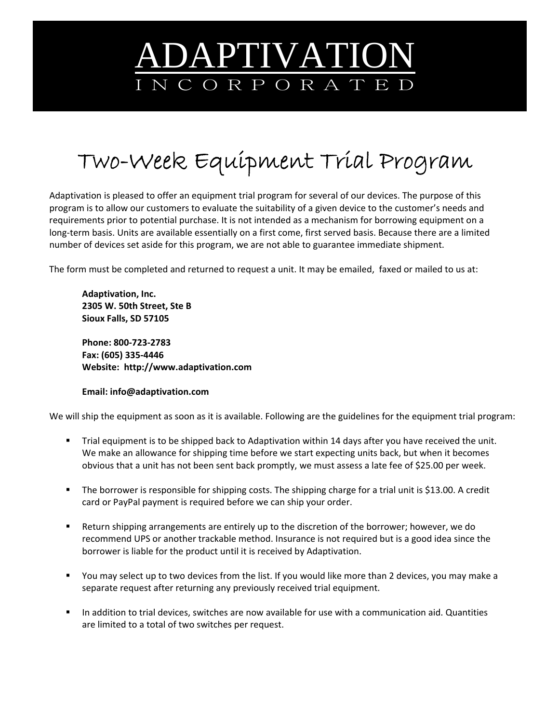## ADAPTIVATION I N C O R P O R A T E D

## Two-Week Equipment Trial Program

Adaptivation is pleased to offer an equipment trial program for several of our devices. The purpose of this program is to allow our customers to evaluate the suitability of a given device to the customer's needs and requirements prior to potential purchase. It is not intended as a mechanism for borrowing equipment on a long‐term basis. Units are available essentially on a first come, first served basis. Because there are a limited number of devices set aside for this program, we are not able to guarantee immediate shipment.

The form must be completed and returned to request a unit. It may be emailed, faxed or mailed to us at:

**Adaptivation, Inc. 2305 W. 50th Street, Ste B Sioux Falls, SD 57105**

**Phone: 800‐723‐2783 Fax: (605) 335‐4446 Website: http://www.adaptivation.com**

## **Email: info@adaptivation.com**

We will ship the equipment as soon as it is available. Following are the guidelines for the equipment trial program:

- Trial equipment is to be shipped back to Adaptivation within 14 days after you have received the unit. We make an allowance for shipping time before we start expecting units back, but when it becomes obvious that a unit has not been sent back promptly, we must assess a late fee of \$25.00 per week.
- The borrower is responsible for shipping costs. The shipping charge for a trial unit is \$13.00. A credit card or PayPal payment is required before we can ship your order.
- Return shipping arrangements are entirely up to the discretion of the borrower; however, we do recommend UPS or another trackable method. Insurance is not required but is a good idea since the borrower is liable for the product until it is received by Adaptivation.
- You may select up to two devices from the list. If you would like more than 2 devices, you may make a separate request after returning any previously received trial equipment.
- In addition to trial devices, switches are now available for use with a communication aid. Quantities are limited to a total of two switches per request.